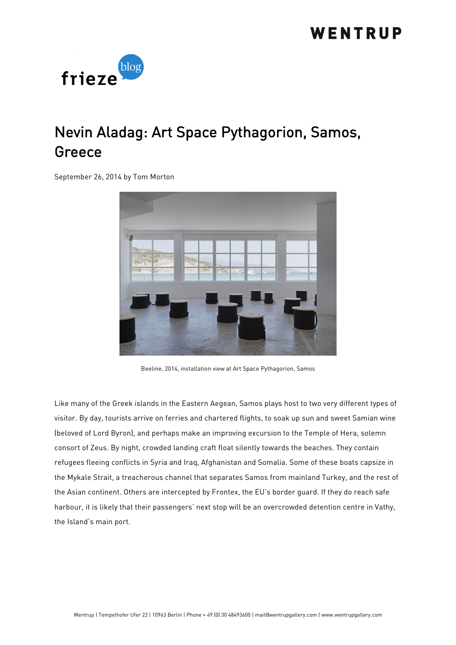

## Nevin Aladag: Art Space Pythagorion, Samos, Greece

September 26, 2014 by Tom Morton



Beeline, 2014, installation view at Art Space Pythagorion, Samos

Like many of the Greek islands in the Eastern Aegean, Samos plays host to two very different types of visitor. By day, tourists arrive on ferries and chartered flights, to soak up sun and sweet Samian wine (beloved of Lord Byron), and perhaps make an improving excursion to the Temple of Hera, solemn consort of Zeus. By night, crowded landing craft float silently towards the beaches. They contain refugees fleeing conflicts in Syria and Iraq, Afghanistan and Somalia. Some of these boats capsize in the Mykale Strait, a treacherous channel that separates Samos from mainland Turkey, and the rest of the Asian continent. Others are intercepted by Frontex, the EU's border guard. If they do reach safe harbour, it is likely that their passengers' next stop will be an overcrowded detention centre in Vathy, the Island's main port.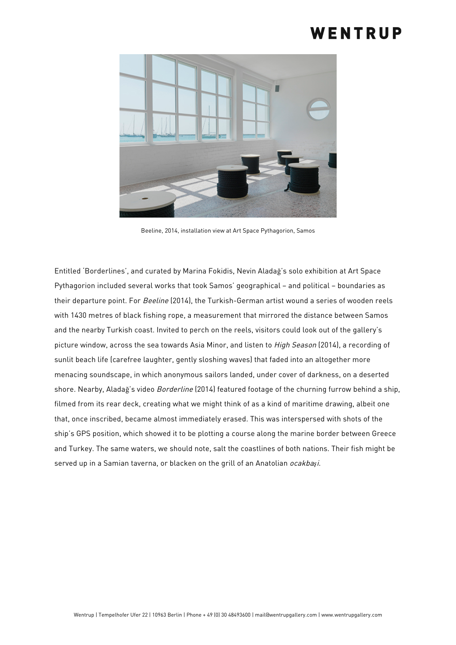

Beeline, 2014, installation view at Art Space Pythagorion, Samos

Entitled 'Borderlines', and curated by Marina Fokidis, Nevin Aladağ's solo exhibition at Art Space Pythagorion included several works that took Samos' geographical – and political – boundaries as their departure point. For Beeline (2014), the Turkish-German artist wound a series of wooden reels with 1430 metres of black fishing rope, a measurement that mirrored the distance between Samos and the nearby Turkish coast. Invited to perch on the reels, visitors could look out of the gallery's picture window, across the sea towards Asia Minor, and listen to *High Season* (2014), a recording of sunlit beach life (carefree laughter, gently sloshing waves) that faded into an altogether more menacing soundscape, in which anonymous sailors landed, under cover of darkness, on a deserted shore. Nearby, Aladağ's video Borderline (2014) featured footage of the churning furrow behind a ship, filmed from its rear deck, creating what we might think of as a kind of maritime drawing, albeit one that, once inscribed, became almost immediately erased. This was interspersed with shots of the ship's GPS position, which showed it to be plotting a course along the marine border between Greece and Turkey. The same waters, we should note, salt the coastlines of both nations. Their fish might be served up in a Samian taverna, or blacken on the grill of an Anatolian ocakba*ş*i.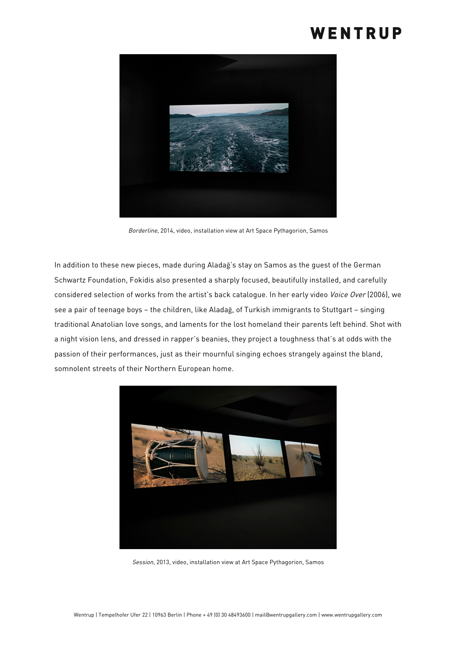

Borderline, 2014, video, installation view at Art Space Pythagorion, Samos

In addition to these new pieces, made during Aladağ's stay on Samos as the guest of the German Schwartz Foundation, Fokidis also presented a sharply focused, beautifully installed, and carefully considered selection of works from the artist's back catalogue. In her early video Voice Over (2006), we see a pair of teenage boys – the children, like Aladağ, of Turkish immigrants to Stuttgart – singing traditional Anatolian love songs, and laments for the lost homeland their parents left behind. Shot with a night vision lens, and dressed in rapper's beanies, they project a toughness that's at odds with the passion of their performances, just as their mournful singing echoes strangely against the bland, somnolent streets of their Northern European home.



Session, 2013, video, installation view at Art Space Pythagorion, Samos